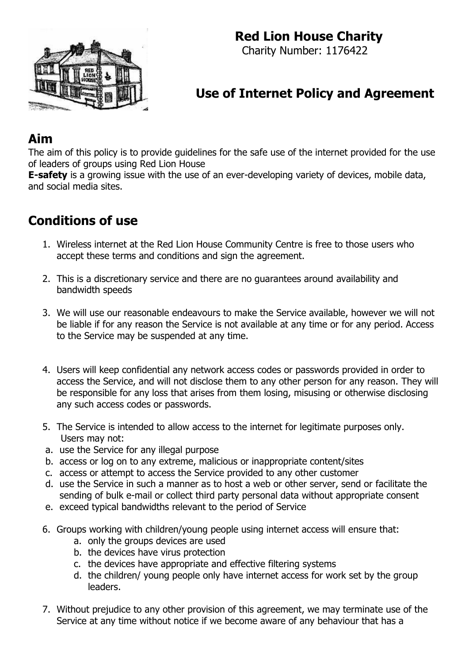## **Red Lion House Charity**



Charity Number: 1176422

# **Use of Internet Policy and Agreement**

### **Aim**

The aim of this policy is to provide guidelines for the safe use of the internet provided for the use of leaders of groups using Red Lion House

**E-safety** is a growing issue with the use of an ever-developing variety of devices, mobile data, and social media sites.

## **Conditions of use**

- 1. Wireless internet at the Red Lion House Community Centre is free to those users who accept these terms and conditions and sign the agreement.
- 2. This is a discretionary service and there are no guarantees around availability and bandwidth speeds
- 3. We will use our reasonable endeavours to make the Service available, however we will not be liable if for any reason the Service is not available at any time or for any period. Access to the Service may be suspended at any time.
- 4. Users will keep confidential any network access codes or passwords provided in order to access the Service, and will not disclose them to any other person for any reason. They will be responsible for any loss that arises from them losing, misusing or otherwise disclosing any such access codes or passwords.
- 5. The Service is intended to allow access to the internet for legitimate purposes only. Users may not:
- a. use the Service for any illegal purpose
- b. access or log on to any extreme, malicious or inappropriate content/sites
- c. access or attempt to access the Service provided to any other customer
- d. use the Service in such a manner as to host a web or other server, send or facilitate the sending of bulk e-mail or collect third party personal data without appropriate consent
- e. exceed typical bandwidths relevant to the period of Service
- 6. Groups working with children/young people using internet access will ensure that:
	- a. only the groups devices are used
	- b. the devices have virus protection
	- c. the devices have appropriate and effective filtering systems
	- d. the children/ young people only have internet access for work set by the group leaders.
- 7. Without prejudice to any other provision of this agreement, we may terminate use of the Service at any time without notice if we become aware of any behaviour that has a